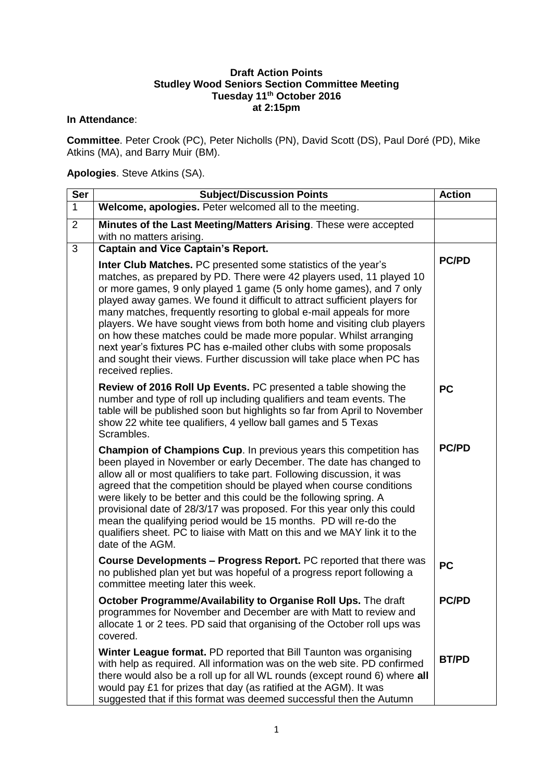## **Draft Action Points Studley Wood Seniors Section Committee Meeting Tuesday 11th October 2016 at 2:15pm**

## **In Attendance**:

**Committee**. Peter Crook (PC), Peter Nicholls (PN), David Scott (DS), Paul Doré (PD), Mike Atkins (MA), and Barry Muir (BM).

## **Apologies**. Steve Atkins (SA).

| <b>Ser</b>     | <b>Subject/Discussion Points</b>                                                                                                                                                                                                                                                                                                                                                                                                                                                                                                                                                                                                                                                          | <b>Action</b> |
|----------------|-------------------------------------------------------------------------------------------------------------------------------------------------------------------------------------------------------------------------------------------------------------------------------------------------------------------------------------------------------------------------------------------------------------------------------------------------------------------------------------------------------------------------------------------------------------------------------------------------------------------------------------------------------------------------------------------|---------------|
| $\mathbf{1}$   | Welcome, apologies. Peter welcomed all to the meeting.                                                                                                                                                                                                                                                                                                                                                                                                                                                                                                                                                                                                                                    |               |
| $\overline{2}$ | Minutes of the Last Meeting/Matters Arising. These were accepted<br>with no matters arising.                                                                                                                                                                                                                                                                                                                                                                                                                                                                                                                                                                                              |               |
| 3              | <b>Captain and Vice Captain's Report.</b>                                                                                                                                                                                                                                                                                                                                                                                                                                                                                                                                                                                                                                                 |               |
|                | Inter Club Matches. PC presented some statistics of the year's<br>matches, as prepared by PD. There were 42 players used, 11 played 10<br>or more games, 9 only played 1 game (5 only home games), and 7 only<br>played away games. We found it difficult to attract sufficient players for<br>many matches, frequently resorting to global e-mail appeals for more<br>players. We have sought views from both home and visiting club players<br>on how these matches could be made more popular. Whilst arranging<br>next year's fixtures PC has e-mailed other clubs with some proposals<br>and sought their views. Further discussion will take place when PC has<br>received replies. | <b>PC/PD</b>  |
|                | Review of 2016 Roll Up Events. PC presented a table showing the<br>number and type of roll up including qualifiers and team events. The<br>table will be published soon but highlights so far from April to November<br>show 22 white tee qualifiers, 4 yellow ball games and 5 Texas<br>Scrambles.                                                                                                                                                                                                                                                                                                                                                                                       | <b>PC</b>     |
|                | Champion of Champions Cup. In previous years this competition has<br>been played in November or early December. The date has changed to<br>allow all or most qualifiers to take part. Following discussion, it was<br>agreed that the competition should be played when course conditions<br>were likely to be better and this could be the following spring. A<br>provisional date of 28/3/17 was proposed. For this year only this could<br>mean the qualifying period would be 15 months. PD will re-do the<br>qualifiers sheet. PC to liaise with Matt on this and we MAY link it to the<br>date of the AGM.                                                                          | <b>PC/PD</b>  |
|                | <b>Course Developments - Progress Report.</b> PC reported that there was<br>no published plan yet but was hopeful of a progress report following a<br>committee meeting later this week.                                                                                                                                                                                                                                                                                                                                                                                                                                                                                                  | <b>PC</b>     |
|                | October Programme/Availability to Organise Roll Ups. The draft<br>programmes for November and December are with Matt to review and<br>allocate 1 or 2 tees. PD said that organising of the October roll ups was<br>covered.                                                                                                                                                                                                                                                                                                                                                                                                                                                               | <b>PC/PD</b>  |
|                | Winter League format. PD reported that Bill Taunton was organising<br>with help as required. All information was on the web site. PD confirmed<br>there would also be a roll up for all WL rounds (except round 6) where all<br>would pay £1 for prizes that day (as ratified at the AGM). It was<br>suggested that if this format was deemed successful then the Autumn                                                                                                                                                                                                                                                                                                                  | <b>BT/PD</b>  |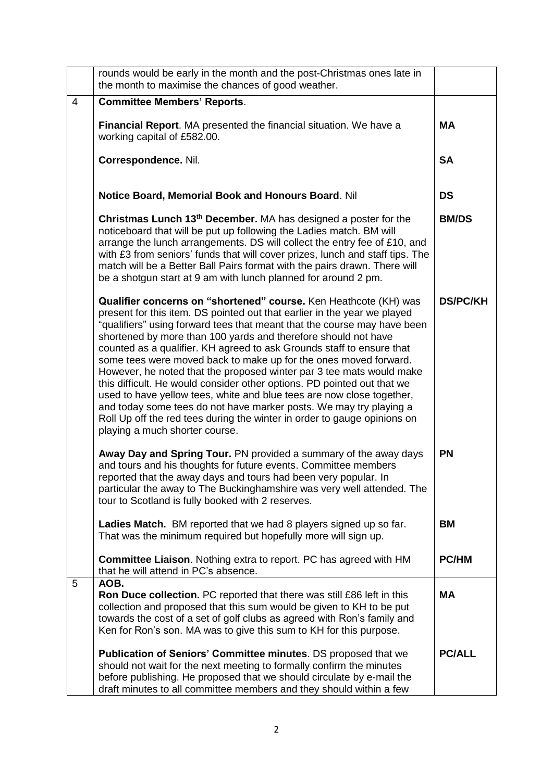|   | rounds would be early in the month and the post-Christmas ones late in<br>the month to maximise the chances of good weather.                                                                                                                                                                                                                                                                                                                                                                                                                                                                                                                                                                                                                                                                                                                            |                 |
|---|---------------------------------------------------------------------------------------------------------------------------------------------------------------------------------------------------------------------------------------------------------------------------------------------------------------------------------------------------------------------------------------------------------------------------------------------------------------------------------------------------------------------------------------------------------------------------------------------------------------------------------------------------------------------------------------------------------------------------------------------------------------------------------------------------------------------------------------------------------|-----------------|
| 4 | <b>Committee Members' Reports.</b>                                                                                                                                                                                                                                                                                                                                                                                                                                                                                                                                                                                                                                                                                                                                                                                                                      |                 |
|   | Financial Report. MA presented the financial situation. We have a<br>working capital of £582.00.                                                                                                                                                                                                                                                                                                                                                                                                                                                                                                                                                                                                                                                                                                                                                        | <b>MA</b>       |
|   | Correspondence. Nil.                                                                                                                                                                                                                                                                                                                                                                                                                                                                                                                                                                                                                                                                                                                                                                                                                                    | <b>SA</b>       |
|   | Notice Board, Memorial Book and Honours Board. Nil                                                                                                                                                                                                                                                                                                                                                                                                                                                                                                                                                                                                                                                                                                                                                                                                      | <b>DS</b>       |
|   | Christmas Lunch 13 <sup>th</sup> December. MA has designed a poster for the<br>noticeboard that will be put up following the Ladies match. BM will<br>arrange the lunch arrangements. DS will collect the entry fee of £10, and<br>with £3 from seniors' funds that will cover prizes, lunch and staff tips. The<br>match will be a Better Ball Pairs format with the pairs drawn. There will<br>be a shotgun start at 9 am with lunch planned for around 2 pm.                                                                                                                                                                                                                                                                                                                                                                                         | <b>BM/DS</b>    |
|   | Qualifier concerns on "shortened" course. Ken Heathcote (KH) was<br>present for this item. DS pointed out that earlier in the year we played<br>"qualifiers" using forward tees that meant that the course may have been<br>shortened by more than 100 yards and therefore should not have<br>counted as a qualifier. KH agreed to ask Grounds staff to ensure that<br>some tees were moved back to make up for the ones moved forward.<br>However, he noted that the proposed winter par 3 tee mats would make<br>this difficult. He would consider other options. PD pointed out that we<br>used to have yellow tees, white and blue tees are now close together,<br>and today some tees do not have marker posts. We may try playing a<br>Roll Up off the red tees during the winter in order to gauge opinions on<br>playing a much shorter course. | <b>DS/PC/KH</b> |
|   | Away Day and Spring Tour. PN provided a summary of the away days<br>and tours and his thoughts for future events. Committee members<br>reported that the away days and tours had been very popular. In<br>particular the away to The Buckinghamshire was very well attended. The<br>tour to Scotland is fully booked with 2 reserves.                                                                                                                                                                                                                                                                                                                                                                                                                                                                                                                   | <b>PN</b>       |
|   | Ladies Match. BM reported that we had 8 players signed up so far.<br>That was the minimum required but hopefully more will sign up.                                                                                                                                                                                                                                                                                                                                                                                                                                                                                                                                                                                                                                                                                                                     | <b>BM</b>       |
|   | <b>Committee Liaison.</b> Nothing extra to report. PC has agreed with HM<br>that he will attend in PC's absence.                                                                                                                                                                                                                                                                                                                                                                                                                                                                                                                                                                                                                                                                                                                                        | <b>PC/HM</b>    |
| 5 | AOB.<br>Ron Duce collection. PC reported that there was still £86 left in this<br>collection and proposed that this sum would be given to KH to be put<br>towards the cost of a set of golf clubs as agreed with Ron's family and<br>Ken for Ron's son. MA was to give this sum to KH for this purpose.                                                                                                                                                                                                                                                                                                                                                                                                                                                                                                                                                 | <b>MA</b>       |
|   | Publication of Seniors' Committee minutes. DS proposed that we<br>should not wait for the next meeting to formally confirm the minutes<br>before publishing. He proposed that we should circulate by e-mail the<br>draft minutes to all committee members and they should within a few                                                                                                                                                                                                                                                                                                                                                                                                                                                                                                                                                                  | <b>PC/ALL</b>   |